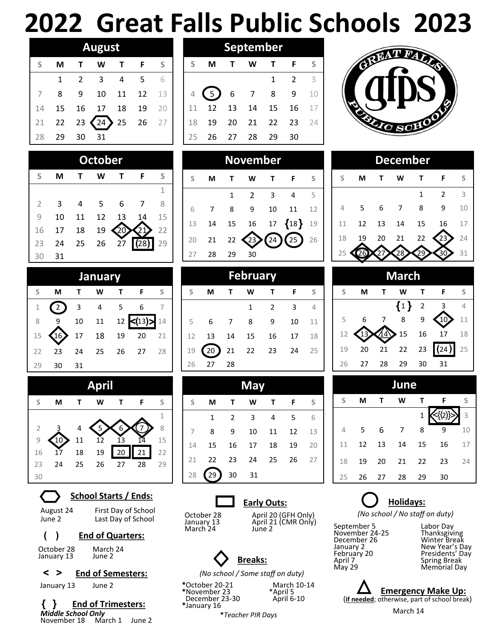# **2022 Great Falls Public Schools 2023**

| ugust<br>A |    |    |                      |           |    |    |  |
|------------|----|----|----------------------|-----------|----|----|--|
| S          | M  | Τ  | W                    |           | F  | -S |  |
|            | 1  | 2  | 3                    | 4         | .5 | 6  |  |
|            | 8  | 9  | 10                   | 11        | 12 | 13 |  |
| 14         | 15 | 16 | 17                   | 18        | 19 | 20 |  |
| 21         | 22 | 23 | $\langle 24 \rangle$ | $\sum 25$ | 26 | 27 |  |
| 28         | 29 | 30 | 31                   |           |    |    |  |

| September      |         |    |      |              |                |     |  |  |
|----------------|---------|----|------|--------------|----------------|-----|--|--|
| S              | М       | т  | W    |              | F              | -S  |  |  |
|                |         |    |      | $\mathbf{1}$ | $\overline{2}$ | 3   |  |  |
| $\overline{4}$ | (5) 6 7 |    |      | 8            | q              | 10  |  |  |
| 11             | 12      | 13 | 14   | 15           | 16             | -17 |  |  |
| 18             | 19      | 20 | 21   | 22           | 23             | 24  |  |  |
| 25             | 26      | 27 | - 28 | 29           | 30             |     |  |  |
|                |         |    |      |              |                |     |  |  |



| <b>October</b> |    |    |    |    |    |    |  |  |  |
|----------------|----|----|----|----|----|----|--|--|--|
| S              | М  |    | W  |    | F  |    |  |  |  |
|                |    |    |    |    |    | 1  |  |  |  |
| $\overline{2}$ | 3  | 4  | 5  | 6  |    |    |  |  |  |
| 9              | 10 | 11 | 12 | 13 | 14 | 15 |  |  |  |
| 16             | 17 | 18 | 19 |    |    | 22 |  |  |  |
| 23             | 24 | 25 | 26 | 27 | 08 | 29 |  |  |  |
| 30             | 31 |    |    |    |    |    |  |  |  |

| January |    |    |    |    |             |    |  |
|---------|----|----|----|----|-------------|----|--|
| S       | М  |    | w  |    | F           | S  |  |
| 1       |    | 3  | 4  | 5  | 6           |    |  |
| 8       |    | 10 | 11 | 12 | $\leq (13)$ | 14 |  |
| 15      | 6  | 17 | 18 | 19 | 20          | 21 |  |
| 22      | 23 | 24 | 25 | 26 | 27          | 28 |  |
| 29      | 30 | 31 |    |    |             |    |  |



## **School Starts / Ends:**

August 24 First Day of School<br>June 2 Last Day of School Last Day of School

### **( ) End of Quarters:**

 October 28 March 24 January 13 June 2

**< > End of Semesters:** 

January 13 June 2

**{ } End of Trimesters:**  *Middle School Only* November 18 March 1 June 2

| <b>November</b> |    |    |                |              |                                       |              |  |  |
|-----------------|----|----|----------------|--------------|---------------------------------------|--------------|--|--|
| S               | м  | т  | W              | $\mathsf{T}$ | - F                                   | <sub>S</sub> |  |  |
|                 |    | 1  | $\overline{2}$ | 3            | 4                                     | 5            |  |  |
| 6               | 7  | 8  | 9              | 10           | 11                                    | 12           |  |  |
| 13              | 14 | 15 |                |              | 16 17 $\{18\}$ 19                     |              |  |  |
| 20              | 21 |    |                |              | $22 \times 23 \times 24 \times 25$ 26 |              |  |  |
| 27              | 28 | 29 | 30             |              |                                       |              |  |  |

| <b>February</b> |     |                |     |                    |    |                |  |  |
|-----------------|-----|----------------|-----|--------------------|----|----------------|--|--|
| S               | М   | Т              | W   | т                  | F  | -S             |  |  |
|                 |     |                | 1   | 2                  | 3  | $\overline{4}$ |  |  |
| 5               | - 6 | $\overline{7}$ | - 8 | 9                  | 10 | 11             |  |  |
| 12 <sup>2</sup> | 13  | 14             | 15  | 16                 | 17 | 18             |  |  |
| 19              |     |                |     | $(20)$ 21 22 23 24 |    | 25             |  |  |
| 26              | 27  | 28             |     |                    |    |                |  |  |
|                 |     |                |     |                    |    |                |  |  |

| <b>May</b> |    |    |    |    |    |    |  |
|------------|----|----|----|----|----|----|--|
| S          | М  | т  | W  | т  | F  | S  |  |
|            | 1  | 2  | 3  | 4  | 5  | 6  |  |
| 7          | 8  | 9  | 10 | 11 | 12 | 13 |  |
| 14         | 15 | 16 | 17 | 18 | 19 | 20 |  |
| 21         | 22 | 23 | 24 | 25 | 26 | 27 |  |
| 28         | 29 | 30 | 31 |    |    |    |  |





October 28 April 20 (GFH Only) January 13 April 21 (CMR Only) January 13 April 2<br>March 24 June 2



*(No school / Some staff on duty)*

**\***October 20-21 March 10-14 **\***November 23 \*April 5 December 23-30 **\***January 16 

 **\****Teacher PIR Days* 

|                |    |    |    | December |                 |                |
|----------------|----|----|----|----------|-----------------|----------------|
| S              | M  |    | W  | т        | F               | S              |
|                |    |    |    | 1        | $\overline{2}$  | $\overline{3}$ |
| $\overline{4}$ | 5  | 6  | 7  | 8        | 9               | 10             |
| 11             | 12 | 13 | 14 | 15       | 16              | 17             |
| 18             | 19 | 20 | 21 | 22       | $\overline{23}$ | 24             |
| 25             |    |    | 28 |          |                 | 31             |

|    | March |    |         |    |      |    |  |  |  |
|----|-------|----|---------|----|------|----|--|--|--|
| S  | М     | Т  | W       | Т  | F    | S  |  |  |  |
|    |       |    | $\{1\}$ | 2  |      | 4  |  |  |  |
| 5  | 6     |    | 8       | 9  |      | 11 |  |  |  |
| 12 | 13    |    | 15      | 16 | 17   | 18 |  |  |  |
| 19 | 20    | 21 | 22      | 23 | (24) | 25 |  |  |  |
| 26 | 27    | 28 | 29      | 30 | 31   |    |  |  |  |

| une            |    |    |    |    |    |    |  |
|----------------|----|----|----|----|----|----|--|
| S              | М  | Т  | w  | т  | F  | S  |  |
|                |    |    |    | 1  |    | 3  |  |
| $\overline{4}$ | 5  | 6  | 7  | 8  | 9  | 10 |  |
| 11             | 12 | 13 | 14 | 15 | 16 | 17 |  |
| 18             | 19 | 20 | 21 | 22 | 23 | 24 |  |
| 25             | 26 | 27 | 28 | 29 | 30 |    |  |

## **Holidays:** *(No school / No staff on duty)*

September 5 Labor Day November 24-25<br>December 26 November 24-25 Thanksgiving<br>December 26 Winter Break<br>January 2 New Year's D. January 2 New Year's Day February 20 Presidents' Day February 20 Fesidents' D<br>
April 7 Spring Break<br>
May 29 Memorial Da

Memorial Day



March 14